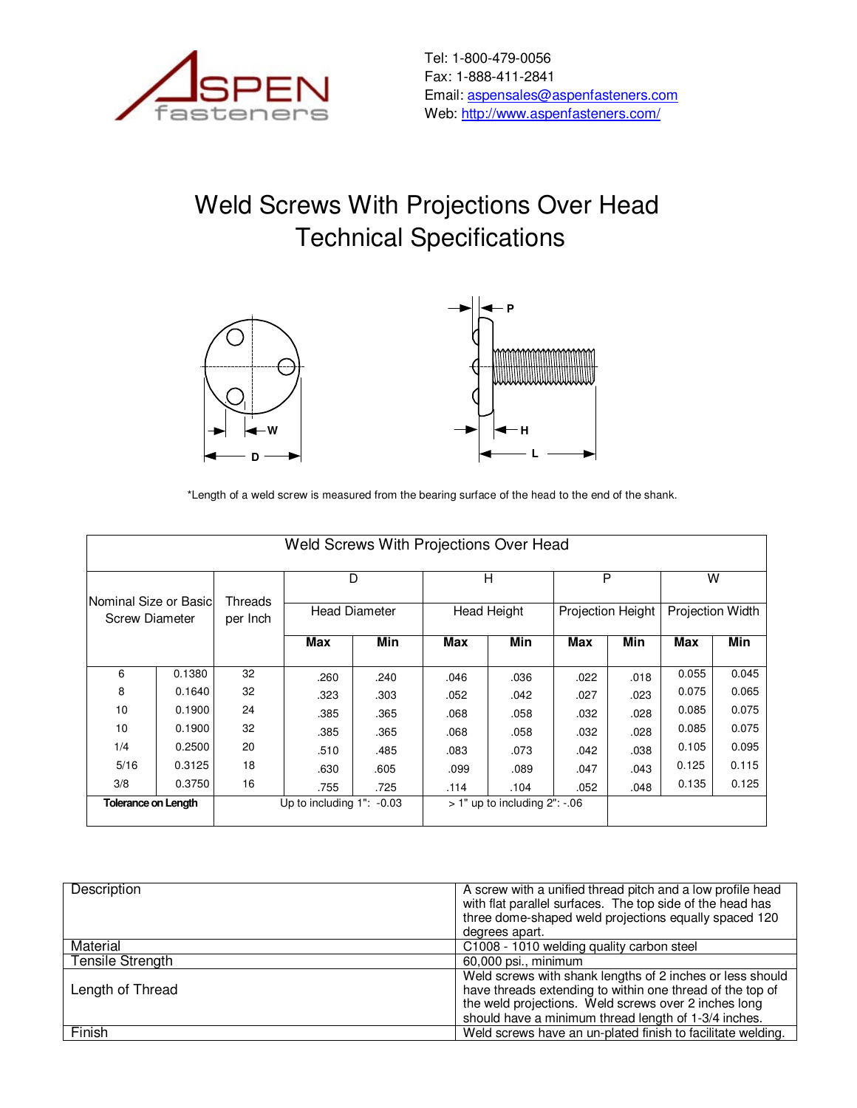

Tel: 1-800-479-0056 Fax: 1-888-411-2841 Email: aspensales@aspenfasteners.com Web: http://www.aspenfasteners.com/

## Weld Screws With Projections Over Head Technical Specifications





\*Length of a weld screw is measured from the bearing surface of the head to the end of the shank.

|                            | Weld Screws With Projections Over Head |          |                                |      |      |                                    |      |                   |       |                         |
|----------------------------|----------------------------------------|----------|--------------------------------|------|------|------------------------------------|------|-------------------|-------|-------------------------|
| lNominal Size or Basicl    |                                        | Threads  | D<br><b>Head Diameter</b>      |      | н    |                                    | P    |                   | W     |                         |
| <b>Screw Diameter</b>      |                                        | per Inch |                                |      |      | <b>Head Height</b>                 |      | Projection Height |       | <b>Projection Width</b> |
|                            |                                        |          | Max                            | Min  | Max  | Min                                | Max  | Min               | Max   | Min                     |
| 6                          | 0.1380                                 | 32       | .260                           | .240 | .046 | .036                               | .022 | .018              | 0.055 | 0.045                   |
| 8                          | 0.1640                                 | 32       | .323                           | .303 | .052 | .042                               | .027 | .023              | 0.075 | 0.065                   |
| 10                         | 0.1900                                 | 24       | .385                           | .365 | .068 | .058                               | .032 | .028              | 0.085 | 0.075                   |
| 10                         | 0.1900                                 | 32       | .385                           | .365 | .068 | .058                               | .032 | .028              | 0.085 | 0.075                   |
| 1/4                        | 0.2500                                 | 20       | .510                           | .485 | .083 | .073                               | .042 | .038              | 0.105 | 0.095                   |
| 5/16                       | 0.3125                                 | 18       | .630                           | .605 | .099 | .089                               | .047 | .043              | 0.125 | 0.115                   |
| 3/8                        | 0.3750                                 | 16       | .755                           | .725 | .114 | .104                               | .052 | .048              | 0.135 | 0.125                   |
| <b>Tolerance on Length</b> |                                        |          | Up to including $1"$ : $-0.03$ |      |      | $>1"$ up to including $2"$ : $-06$ |      |                   |       |                         |

| Description             | A screw with a unified thread pitch and a low profile head<br>with flat parallel surfaces. The top side of the head has<br>three dome-shaped weld projections equally spaced 120<br>degrees apart.                                     |
|-------------------------|----------------------------------------------------------------------------------------------------------------------------------------------------------------------------------------------------------------------------------------|
| Material                | C1008 - 1010 welding quality carbon steel                                                                                                                                                                                              |
| <b>Tensile Strength</b> | 60,000 psi., minimum                                                                                                                                                                                                                   |
| Length of Thread        | Weld screws with shank lengths of 2 inches or less should<br>have threads extending to within one thread of the top of<br>the weld projections. Weld screws over 2 inches long<br>should have a minimum thread length of 1-3/4 inches. |
| Finish                  | Weld screws have an un-plated finish to facilitate welding.                                                                                                                                                                            |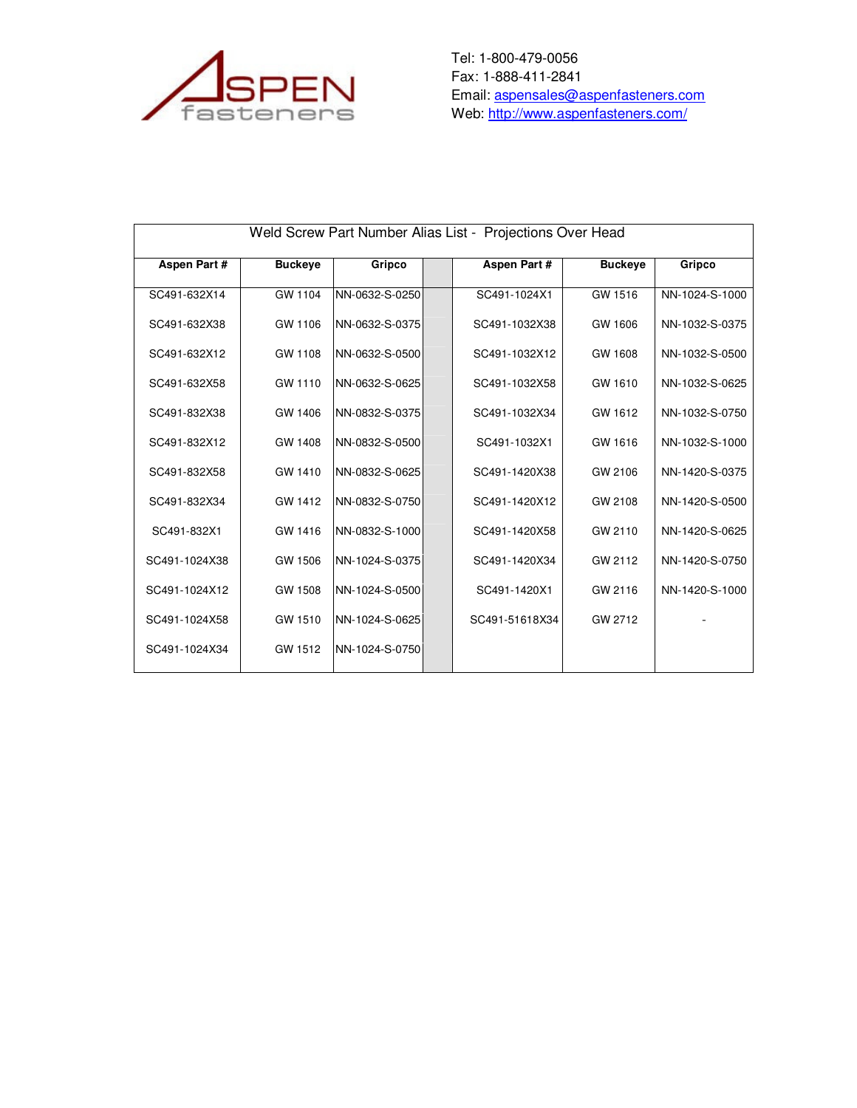

Tel: 1-800-479-0056 Fax: 1-888-411-2841 Email: **aspensales@aspenfasteners.com** Web: <u>http://www.aspenfasteners.com/</u>

| Weld Screw Part Number Alias List - Projections Over Head |                |                |  |                |                |                |
|-----------------------------------------------------------|----------------|----------------|--|----------------|----------------|----------------|
| <b>Aspen Part #</b>                                       | <b>Buckeye</b> | Gripco         |  | Aspen Part #   | <b>Buckeye</b> | Gripco         |
| SC491-632X14                                              | GW 1104        | NN-0632-S-0250 |  | SC491-1024X1   | GW 1516        | NN-1024-S-1000 |
| SC491-632X38                                              | GW 1106        | NN-0632-S-0375 |  | SC491-1032X38  | GW 1606        | NN-1032-S-0375 |
| SC491-632X12                                              | GW 1108        | NN-0632-S-0500 |  | SC491-1032X12  | GW 1608        | NN-1032-S-0500 |
| SC491-632X58                                              | GW 1110        | NN-0632-S-0625 |  | SC491-1032X58  | GW 1610        | NN-1032-S-0625 |
| SC491-832X38                                              | GW 1406        | NN-0832-S-0375 |  | SC491-1032X34  | GW 1612        | NN-1032-S-0750 |
| SC491-832X12                                              | GW 1408        | NN-0832-S-0500 |  | SC491-1032X1   | GW 1616        | NN-1032-S-1000 |
| SC491-832X58                                              | GW 1410        | NN-0832-S-0625 |  | SC491-1420X38  | GW 2106        | NN-1420-S-0375 |
| SC491-832X34                                              | GW 1412        | NN-0832-S-0750 |  | SC491-1420X12  | GW 2108        | NN-1420-S-0500 |
| SC491-832X1                                               | GW 1416        | NN-0832-S-1000 |  | SC491-1420X58  | GW 2110        | NN-1420-S-0625 |
| SC491-1024X38                                             | GW 1506        | NN-1024-S-0375 |  | SC491-1420X34  | GW 2112        | NN-1420-S-0750 |
| SC491-1024X12                                             | GW 1508        | NN-1024-S-0500 |  | SC491-1420X1   | GW 2116        | NN-1420-S-1000 |
| SC491-1024X58                                             | GW 1510        | NN-1024-S-0625 |  | SC491-51618X34 | GW 2712        |                |
| SC491-1024X34                                             | GW 1512        | NN-1024-S-0750 |  |                |                |                |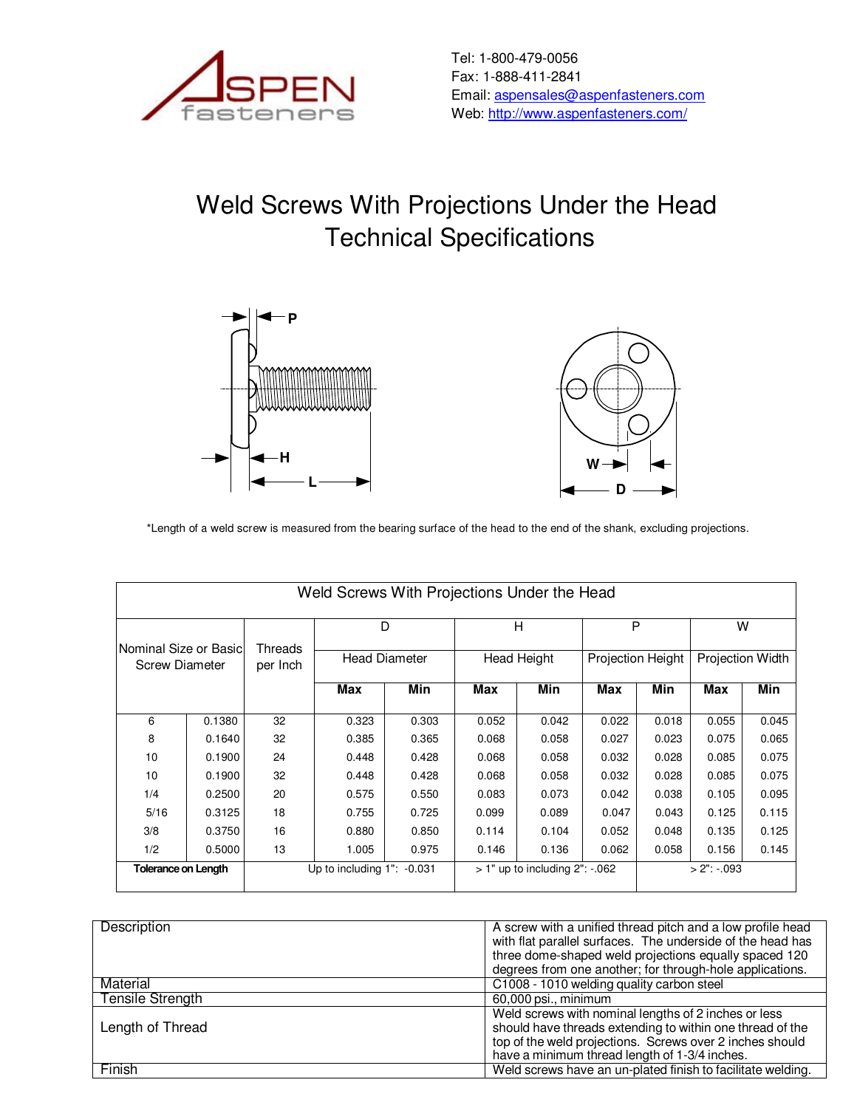

## Weld Screws With Projections Under the Head Technical Specifications





\*Length of a weld screw is measured from the bearing surface of the head to the end of the shank, excluding projections.

| Weld Screws With Projections Under the Head    |        |                                 |                           |       |                                      |       |                        |                |                       |       |
|------------------------------------------------|--------|---------------------------------|---------------------------|-------|--------------------------------------|-------|------------------------|----------------|-----------------------|-------|
| Nominal Size or Basic<br><b>Screw Diameter</b> |        |                                 | D<br><b>Head Diameter</b> |       | Н<br><b>Head Height</b>              |       | P<br>Projection Height |                | W<br>Projection Width |       |
|                                                |        | Threads<br>per Inch             |                           |       |                                      |       |                        |                |                       |       |
|                                                |        |                                 | Max                       | Min   | Max                                  | Min   | Max                    | Min            | Max                   | Min   |
| 6                                              | 0.1380 | 32                              | 0.323                     | 0.303 | 0.052                                | 0.042 | 0.022                  | 0.018          | 0.055                 | 0.045 |
| 8                                              | 0.1640 | 32                              | 0.385                     | 0.365 | 0.068                                | 0.058 | 0.027                  | 0.023          | 0.075                 | 0.065 |
| 10                                             | 0.1900 | 24                              | 0.448                     | 0.428 | 0.068                                | 0.058 | 0.032                  | 0.028          | 0.085                 | 0.075 |
| 10                                             | 0.1900 | 32                              | 0.448                     | 0.428 | 0.068                                | 0.058 | 0.032                  | 0.028          | 0.085                 | 0.075 |
| 1/4                                            | 0.2500 | 20                              | 0.575                     | 0.550 | 0.083                                | 0.073 | 0.042                  | 0.038          | 0.105                 | 0.095 |
| 5/16                                           | 0.3125 | 18                              | 0.755                     | 0.725 | 0.099                                | 0.089 | 0.047                  | 0.043          | 0.125                 | 0.115 |
| 3/8                                            | 0.3750 | 16                              | 0.880                     | 0.850 | 0.114                                | 0.104 | 0.052                  | 0.048          | 0.135                 | 0.125 |
| 1/2                                            | 0.5000 | 13                              | 1.005                     | 0.975 | 0.146                                | 0.136 | 0.062                  | 0.058          | 0.156                 | 0.145 |
| <b>Tolerance on Length</b>                     |        | Up to including $1"$ : $-0.031$ |                           |       | $> 1"$ up to including $2"$ : $-062$ |       |                        | $> 2$ ": -.093 |                       |       |

| Description             | A screw with a unified thread pitch and a low profile head  |
|-------------------------|-------------------------------------------------------------|
|                         | with flat parallel surfaces. The underside of the head has  |
|                         | three dome-shaped weld projections equally spaced 120       |
|                         |                                                             |
|                         | degrees from one another; for through-hole applications.    |
| Material                | C1008 - 1010 welding quality carbon steel                   |
| <b>Tensile Strength</b> | 60,000 psi., minimum                                        |
|                         | Weld screws with nominal lengths of 2 inches or less        |
| Length of Thread        | should have threads extending to within one thread of the   |
|                         | top of the weld projections. Screws over 2 inches should    |
|                         | have a minimum thread length of 1-3/4 inches.               |
| Finish                  | Weld screws have an un-plated finish to facilitate welding. |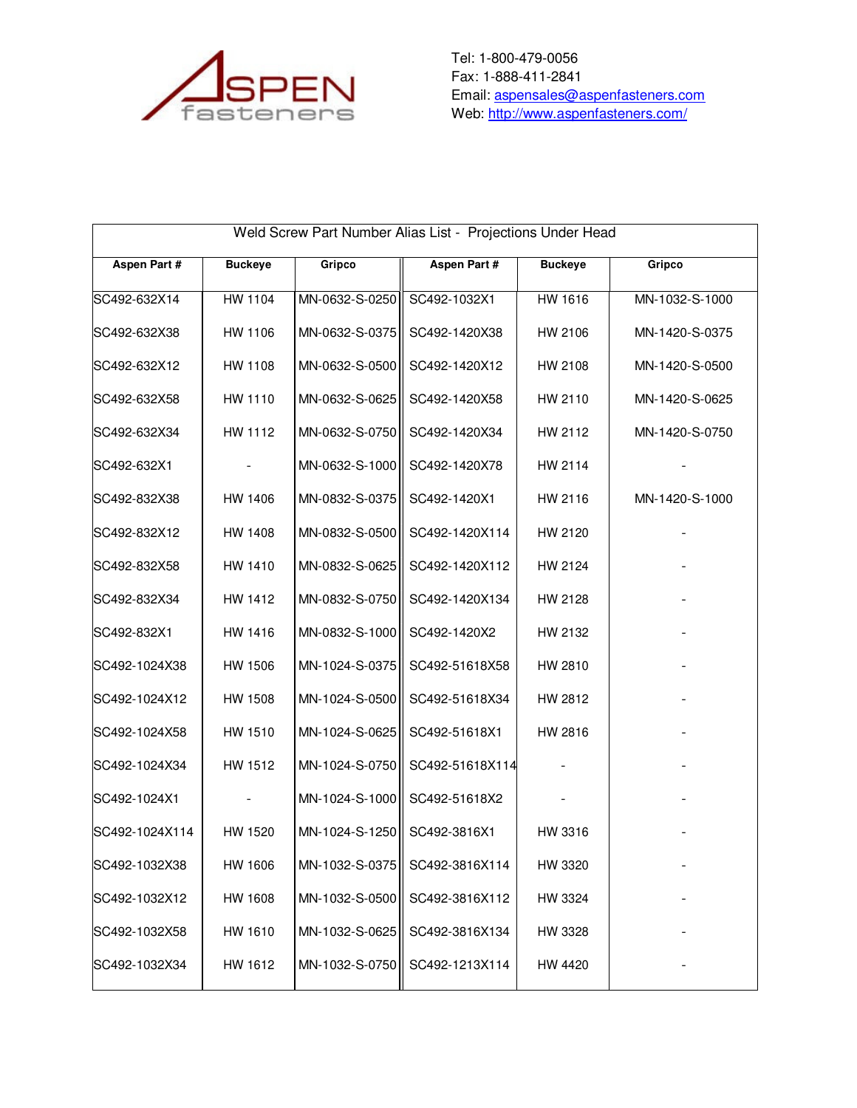

Tel: 1-800-479-0056 Fax: 1-888-411-2841 Email: **aspensales@aspenfasteners.com** Web: <u>http://www.aspenfasteners.com/</u>

| Weld Screw Part Number Alias List - Projections Under Head |                |                |                               |                |                |  |
|------------------------------------------------------------|----------------|----------------|-------------------------------|----------------|----------------|--|
| <b>Aspen Part #</b>                                        | <b>Buckeye</b> | Gripco         | <b>Aspen Part#</b>            | <b>Buckeye</b> | Gripco         |  |
| SC492-632X14                                               | HW 1104        | MN-0632-S-0250 | SC492-1032X1                  | HW 1616        | MN-1032-S-1000 |  |
| SC492-632X38                                               | HW 1106        | MN-0632-S-0375 | SC492-1420X38                 | HW 2106        | MN-1420-S-0375 |  |
| SC492-632X12                                               | HW 1108        | MN-0632-S-0500 | SC492-1420X12                 | HW 2108        | MN-1420-S-0500 |  |
| SC492-632X58                                               | HW 1110        | MN-0632-S-0625 | SC492-1420X58                 | HW 2110        | MN-1420-S-0625 |  |
| SC492-632X34                                               | HW 1112        | MN-0632-S-0750 | SC492-1420X34                 | HW 2112        | MN-1420-S-0750 |  |
| SC492-632X1                                                |                | MN-0632-S-1000 | SC492-1420X78                 | HW 2114        |                |  |
| SC492-832X38                                               | HW 1406        | MN-0832-S-0375 | SC492-1420X1                  | HW 2116        | MN-1420-S-1000 |  |
| SC492-832X12                                               | HW 1408        | MN-0832-S-0500 | SC492-1420X114                | HW 2120        |                |  |
| SC492-832X58                                               | HW 1410        | MN-0832-S-0625 | SC492-1420X112                | HW 2124        |                |  |
| SC492-832X34                                               | HW 1412        | MN-0832-S-0750 | SC492-1420X134                | HW 2128        |                |  |
| SC492-832X1                                                | HW 1416        | MN-0832-S-1000 | SC492-1420X2                  | HW 2132        |                |  |
| SC492-1024X38                                              | HW 1506        | MN-1024-S-0375 | SC492-51618X58                | HW 2810        |                |  |
| SC492-1024X12                                              | HW 1508        | MN-1024-S-0500 | SC492-51618X34                | HW 2812        |                |  |
| SC492-1024X58                                              | HW 1510        | MN-1024-S-0625 | SC492-51618X1                 | HW 2816        |                |  |
| SC492-1024X34                                              | HW 1512        | MN-1024-S-0750 | SC492-51618X114               |                |                |  |
| SC492-1024X1                                               |                | MN-1024-S-1000 | SC492-51618X2                 |                |                |  |
| SC492-1024X114                                             | HW 1520        | MN-1024-S-1250 | SC492-3816X1                  | HW 3316        |                |  |
| SC492-1032X38                                              | HW 1606        |                | MN-1032-S-0375 SC492-3816X114 | HW 3320        |                |  |
| SC492-1032X12                                              | HW 1608        | MN-1032-S-0500 | SC492-3816X112                | HW 3324        |                |  |
| SC492-1032X58                                              | HW 1610        | MN-1032-S-0625 | SC492-3816X134                | HW 3328        |                |  |
| SC492-1032X34                                              | HW 1612        | MN-1032-S-0750 | SC492-1213X114                | HW 4420        |                |  |